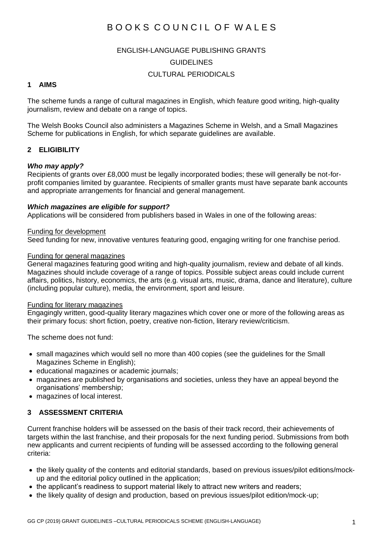# B O O K S C O U N C I L O F W A L F S

#### ENGLISH-LANGUAGE PUBLISHING GRANTS

#### GUIDELINES

### CULTURAL PERIODICALS

### **1 AIMS**

The scheme funds a range of cultural magazines in English, which feature good writing, high-quality journalism, review and debate on a range of topics.

The Welsh Books Council also administers a Magazines Scheme in Welsh, and a Small Magazines Scheme for publications in English, for which separate guidelines are available.

### **2 ELIGIBILITY**

#### *Who may apply?*

Recipients of grants over £8,000 must be legally incorporated bodies; these will generally be not-forprofit companies limited by guarantee. Recipients of smaller grants must have separate bank accounts and appropriate arrangements for financial and general management.

### *Which magazines are eligible for support?*

Applications will be considered from publishers based in Wales in one of the following areas:

#### Funding for development

Seed funding for new, innovative ventures featuring good, engaging writing for one franchise period.

#### Funding for general magazines

General magazines featuring good writing and high-quality journalism, review and debate of all kinds. Magazines should include coverage of a range of topics. Possible subject areas could include current affairs, politics, history, economics, the arts (e.g. visual arts, music, drama, dance and literature), culture (including popular culture), media, the environment, sport and leisure.

#### Funding for literary magazines

Engagingly written, good-quality literary magazines which cover one or more of the following areas as their primary focus: short fiction, poetry, creative non-fiction, literary review/criticism.

The scheme does not fund:

- small magazines which would sell no more than 400 copies (see the guidelines for the Small Magazines Scheme in English);
- educational magazines or academic journals;
- magazines are published by organisations and societies, unless they have an appeal beyond the organisations' membership;
- magazines of local interest.

### **3 ASSESSMENT CRITERIA**

Current franchise holders will be assessed on the basis of their track record, their achievements of targets within the last franchise, and their proposals for the next funding period. Submissions from both new applicants and current recipients of funding will be assessed according to the following general criteria:

- the likely quality of the contents and editorial standards, based on previous issues/pilot editions/mockup and the editorial policy outlined in the application;
- the applicant's readiness to support material likely to attract new writers and readers;
- the likely quality of design and production, based on previous issues/pilot edition/mock-up;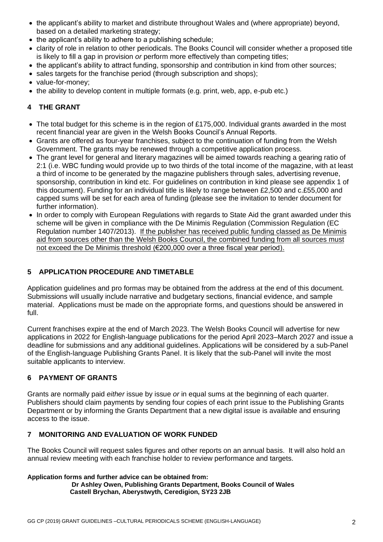- the applicant's ability to market and distribute throughout Wales and (where appropriate) beyond, based on a detailed marketing strategy;
- the applicant's ability to adhere to a publishing schedule:
- clarity of role in relation to other periodicals. The Books Council will consider whether a proposed title is likely to fill a gap in provision *or* perform more effectively than competing titles;
- the applicant's ability to attract funding, sponsorship and contribution in kind from other sources;
- sales targets for the franchise period (through subscription and shops);
- value-for-money;
- the ability to develop content in multiple formats (e.g. print, web, app, e-pub etc.)

### **4 THE GRANT**

- The total budget for this scheme is in the region of £175,000. Individual grants awarded in the most recent financial year are given in the Welsh Books Council's Annual Reports.
- Grants are offered as four-year franchises, subject to the continuation of funding from the Welsh Government. The grants may be renewed through a competitive application process.
- The grant level for general and literary magazines will be aimed towards reaching a gearing ratio of 2:1 (i.e. WBC funding would provide up to two thirds of the total income of the magazine, with at least a third of income to be generated by the magazine publishers through sales, advertising revenue, sponsorship, contribution in kind etc. For guidelines on contribution in kind please see appendix 1 of this document). Funding for an individual title is likely to range between £2,500 and c.£55,000 and capped sums will be set for each area of funding (please see the invitation to tender document for further information).
- In order to comply with European Regulations with regards to State Aid the grant awarded under this scheme will be given in compliance with the De Minimis Regulation (Commission Regulation (EC Regulation number 1407/2013). If the publisher has received public funding classed as De Minimis aid from sources other than the Welsh Books Council, the combined funding from all sources must not exceed the De Minimis threshold (€200,000 over a three fiscal year period).

### **5 APPLICATION PROCEDURE AND TIMETABLE**

Application guidelines and pro formas may be obtained from the address at the end of this document. Submissions will usually include narrative and budgetary sections, financial evidence, and sample material. Applications must be made on the appropriate forms, and questions should be answered in full.

Current franchises expire at the end of March 2023. The Welsh Books Council will advertise for new applications in 2022 for English-language publications for the period April 2023–March 2027 and issue a deadline for submissions and any additional guidelines. Applications will be considered by a sub-Panel of the English-language Publishing Grants Panel. It is likely that the sub-Panel will invite the most suitable applicants to interview.

### **6 PAYMENT OF GRANTS**

Grants are normally paid *either* issue by issue *or* in equal sums at the beginning of each quarter. Publishers should claim payments by sending four copies of each print issue to the Publishing Grants Department or by informing the Grants Department that a new digital issue is available and ensuring access to the issue.

### **7 MONITORING AND EVALUATION OF WORK FUNDED**

The Books Council will request sales figures and other reports on an annual basis. It will also hold an annual review meeting with each franchise holder to review performance and targets.

## **Application forms and further advice can be obtained from:**

 **Dr Ashley Owen, Publishing Grants Department, Books Council of Wales Castell Brychan, Aberystwyth, Ceredigion, SY23 2JB**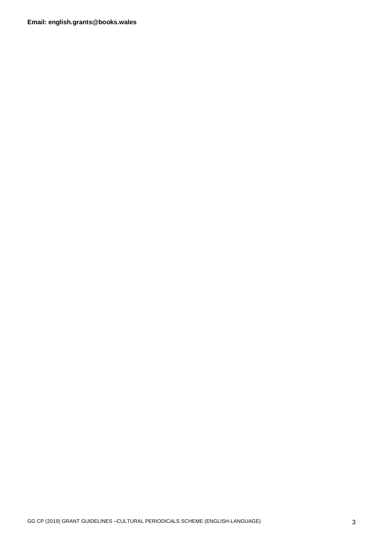**Email: english.grants@books.wales**